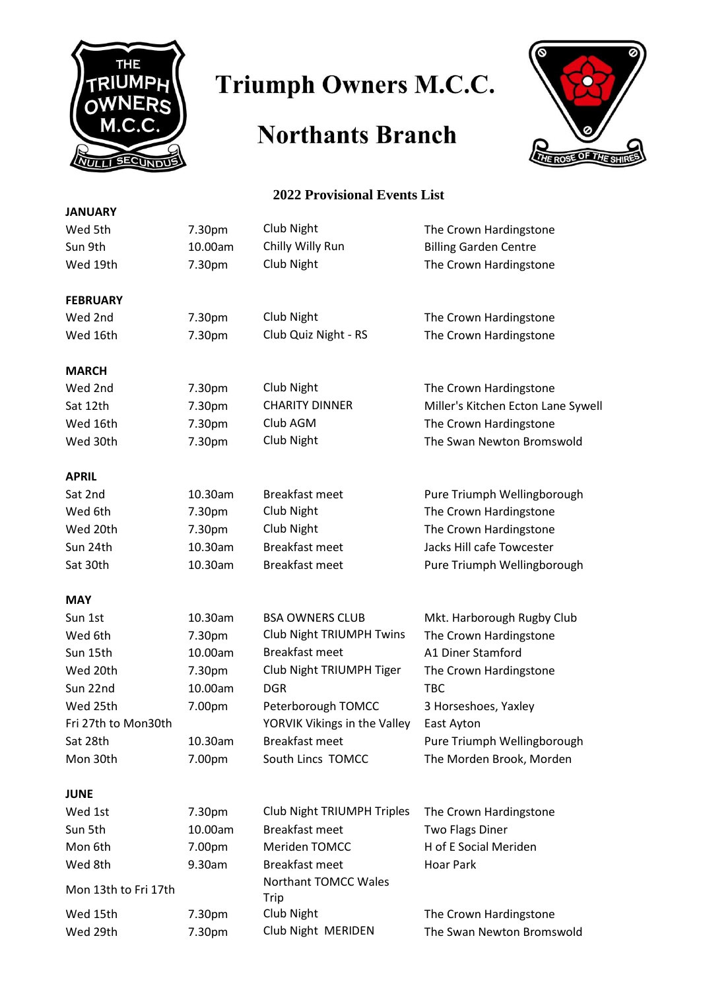

## Triumph Owners M.C.C.

## **Northants Branch**



## **2022 Provisional Events List**

| <b>JANUARY</b>       |         |                                   |                                    |
|----------------------|---------|-----------------------------------|------------------------------------|
| Wed 5th              | 7.30pm  | Club Night                        | The Crown Hardingstone             |
| Sun 9th              | 10.00am | Chilly Willy Run                  | <b>Billing Garden Centre</b>       |
| Wed 19th             | 7.30pm  | Club Night                        | The Crown Hardingstone             |
| <b>FEBRUARY</b>      |         |                                   |                                    |
| Wed 2nd              | 7.30pm  | Club Night                        | The Crown Hardingstone             |
| Wed 16th             | 7.30pm  | Club Quiz Night - RS              | The Crown Hardingstone             |
| <b>MARCH</b>         |         |                                   |                                    |
| Wed 2nd              | 7.30pm  | Club Night                        | The Crown Hardingstone             |
| Sat 12th             | 7.30pm  | <b>CHARITY DINNER</b>             | Miller's Kitchen Ecton Lane Sywell |
| Wed 16th             | 7.30pm  | Club AGM                          | The Crown Hardingstone             |
| Wed 30th             | 7.30pm  | Club Night                        | The Swan Newton Bromswold          |
| <b>APRIL</b>         |         |                                   |                                    |
| Sat 2nd              | 10.30am | Breakfast meet                    | Pure Triumph Wellingborough        |
| Wed 6th              | 7.30pm  | Club Night                        | The Crown Hardingstone             |
| Wed 20th             | 7.30pm  | Club Night                        | The Crown Hardingstone             |
| Sun 24th             | 10.30am | <b>Breakfast meet</b>             | Jacks Hill cafe Towcester          |
| Sat 30th             | 10.30am | <b>Breakfast meet</b>             | Pure Triumph Wellingborough        |
| <b>MAY</b>           |         |                                   |                                    |
| Sun 1st              | 10.30am | <b>BSA OWNERS CLUB</b>            | Mkt. Harborough Rugby Club         |
| Wed 6th              | 7.30pm  | <b>Club Night TRIUMPH Twins</b>   | The Crown Hardingstone             |
| Sun 15th             | 10.00am | <b>Breakfast meet</b>             | A1 Diner Stamford                  |
| Wed 20th             | 7.30pm  | Club Night TRIUMPH Tiger          | The Crown Hardingstone             |
| Sun 22nd             | 10.00am | <b>DGR</b>                        | <b>TBC</b>                         |
| Wed 25th             | 7.00pm  | Peterborough TOMCC                | 3 Horseshoes, Yaxley               |
| Fri 27th to Mon30th  |         | YORVIK Vikings in the Valley      | East Ayton                         |
| Sat 28th             | 10.30am | <b>Breakfast meet</b>             | Pure Triumph Wellingborough        |
| Mon 30th             | 7.00pm  | South Lincs TOMCC                 | The Morden Brook, Morden           |
| <b>JUNE</b>          |         |                                   |                                    |
| Wed 1st              | 7.30pm  | <b>Club Night TRIUMPH Triples</b> | The Crown Hardingstone             |
| Sun 5th              | 10.00am | <b>Breakfast meet</b>             | <b>Two Flags Diner</b>             |
| Mon 6th              | 7.00pm  | Meriden TOMCC                     | H of E Social Meriden              |
| Wed 8th              | 9.30am  | <b>Breakfast meet</b>             | <b>Hoar Park</b>                   |
| Mon 13th to Fri 17th |         | Northant TOMCC Wales<br>Trip      |                                    |
| Wed 15th             | 7.30pm  | Club Night                        | The Crown Hardingstone             |
| Wed 29th             | 7.30pm  | Club Night MERIDEN                | The Swan Newton Bromswold          |